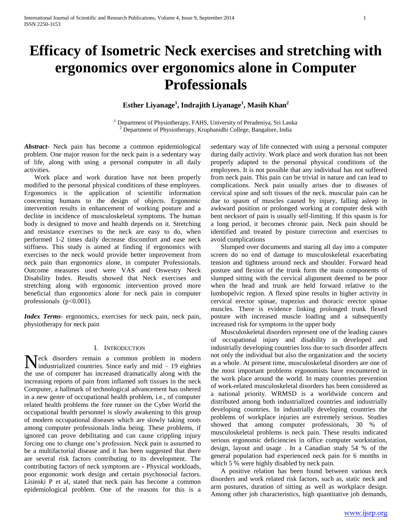**Esther Liyanage<sup>1</sup> , Indrajith Liyanage<sup>1</sup> , Masih Khan<sup>2</sup>**

<sup>1</sup> Department of Physiotherapy, FAHS, University of Peradeniya, Sri Lanka  $2^{2}$  Department of Physiotherapy, Kruphanidhi College, Bangalore, India

*Abstract***-** Neck pain has become a common epidemiological problem. One major reason for the neck pain is a sedentary way of life, along with using a personal computer in all daily activities.

 Work place and work duration have not been properly modified to the personal physical conditions of these employees. Ergonomics is the application of scientific information concerning humans to the design of objects. Ergonomic intervention results in enhancement of working posture and a decline in incidence of musculoskeletal symptoms. The human body is designed to move and health depends on it. Stretching and resistance exercises to the neck are easy to do, when performed 1-2 times daily decrease discomfort and ease neck stiffness. This study is aimed at finding if ergonomics with exercises to the neck would provide better improvement from neck pain than ergonomics alone, in computer Professionals. Outcome measures used were VAS and Oswestry Neck Disability Index. Results showed that Neck exercises and stretching along with ergonomic intervention proved more beneficial than ergonomics alone for neck pain in computer professionals  $(p<0.001)$ .

*Index Terms*- ergonomics, exercises for neck pain, neck pain, physiotherapy for neck pain

# I. INTRODUCTION

eck disorders remain a common problem in modern Neck disorders remain a common problem in modern<br>industrialized countries. Since early and mid – 19 eighties the use of computer has increased dramatically along with the increasing reports of pain from inflamed soft tissues in the neck Computer, a hallmark of technological advancement has ushered in a new genre of occupational health problem, i.e., of computer related health problems the fore runner on the Cyber World the occupational health personnel is slowly awakening to this group of modern occupational diseases which are slowly taking roots among computer professionals India being. These problems, if ignored can prove debilitating and can cause crippling injury forcing one to change one's profession. Neck pain is assumed to be a multifactorial disease and it has been suggested that there are several risk factors contributing to its development. The contributing factors of neck symptoms are - Physical workloads, poor ergonomic work design and certain psychosocial factors. Lisinski P et al, stated that neck pain has become a common epidemiological problem. One of the reasons for this is a

sedentary way of life connected with using a personal computer during daily activity. Work place and work duration has not been properly adapted to the personal physical conditions of the employees. It is not possible that any individual has not suffered from neck pain. This pain can be trivial in nature and can lead to complications. Neck pain usually arises due to diseases of cervical spine and soft tissues of the neck. muscular pain can be due to spasm of muscles caused by injury, falling asleep in awkward position or prolonged working at computer desk with bent necksort of pain is usually self-limiting. If this spasm is for a long period, it becomes chronic pain. Neck pain should be identified and treated by posture correction and exercises to avoid complications

 Slumped over documents and staring all day into a computer screen do no end of damage to musculoskeletal exacerbating tension and tightness around neck and shoulder. Forward head posture and flexion of the trunk form the main components of slumped sitting with the cervical alignment deemed to be poor when the head and trunk are held forward relative to the lumbopelvic region. A flexed spine results in higher activity in cervical erector spinae, trapezius and thoracic erector spinae muscles. There is evidence linking prolonged trunk flexed posture with increased muscle loading and a subsequently increased risk for symptoms in the upper body

 Musculoskeletal disorders represent one of the leading causes of occupational injury and disability in developed and industrially developing countries loss due to such disorder affects not only the individual but also the organization and the society as a whole. At present time, musculoskeletal disorders are one of the most important problems ergonomists have encountered in the work place around the world. In many countries prevention of work-related musculoskeletal disorders has been considered as a national priority. WRMSD is a worldwide concern and distributed among both industrialized countries and industrially developing countries. In industrially developing countries the problems of workplace injuries are extremely serious. Studies showed that among computer professionals, 30 % of musculoskeletal problems is neck pain. These results indicated serious ergonomic deficiencies in office computer workstation, design, layout and usage . In a Canadian study 54 % of the general population had experienced neck pain for 6 months in which 5 % were highly disabled by neck pain.

 A positive relation has been found between various neck disorders and work related risk factors, such as, static neck and arm postures, duration of sitting as well as workplace design. Among other job characteristics, high quantitative job demands,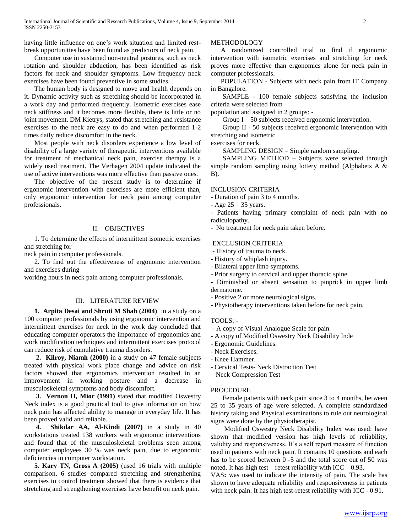having little influence on one's work situation and limited restbreak opportunities have been found as predictors of neck pain.

 Computer use in sustained non-neutral postures, such as neck rotation and shoulder abduction, has been identified as risk factors for neck and shoulder symptoms. Low frequency neck exercises have been found preventive in some studies.

 The human body is designed to move and health depends on it. Dynamic activity such as stretching should be incorporated in a work day and performed frequently. Isometric exercises ease neck stiffness and it becomes more flexible, there is little or no joint movement. DM Kietrys, stated that stretching and resistance exercises to the neck are easy to do and when performed 1-2 times daily reduce discomfort in the neck.

 Most people with neck disorders experience a low level of disability of a large variety of therapeutic interventions available for treatment of mechanical neck pain, exercise therapy is a widely used treatment. The Verhagen 2004 update indicated the use of active interventions was more effective than passive ones.

 The objective of the present study is to determine if ergonomic intervention with exercises are more efficient than, only ergonomic intervention for neck pain among computer professionals.

## II. OBJECTIVES

 1. To determine the effects of intermittent isometric exercises and stretching for

neck pain in computer professionals.

2. To find out the effectiveness of ergonomic intervention and exercises during

working hours in neck pain among computer professionals.

## III. LITERATURE REVIEW

 **1. Arpita Desai and Shruti M Shah (2004)** in a study on a 100 computer professionals by using ergonomic intervention and intermittent exercises for neck in the work day concluded that educating computer operators the importance of ergonomics and work modification techniques and intermittent exercises protocol can reduce risk of cumulative trauma disorders.

 **2. Kilroy, Niamh (2000)** in a study on 47 female subjects treated with physical work place change and advice on risk factors showed that ergonomics intervention resulted in an improvement in working posture and a decrease in musculoskeletal symptoms and body discomfort.

 **3. Vernon H, Mior (1991)** stated that modified Oswestry Neck index is a good practical tool to give information on how neck pain has affected ability to manage in everyday life. It has been proved valid and reliable.

 **4. Shikdar AA, Al-Kindi (2007)** in a study in 40 workstations treated 138 workers with ergonomic interventions and found that of the musculoskeletal problems seen among computer employees 30 % was neck pain, due to ergonomic deficiencies in computer workstation.

 **5. Kary TN, Gross A (2005)** (used 16 trials with multiple comparison, 6 studies compared stretching and strengthening exercises to control treatment showed that there is evidence that stretching and strengthening exercises have benefit on neck pain.

# METHODOLOGY

 A randomized controlled trial to find if ergonomic intervention with isometric exercises and stretching for neck proves more effective than ergonomics alone for neck pain in computer professionals.

 POPULATION - Subjects with neck pain from IT Company in Bangalore.

 SAMPLE - 100 female subjects satisfying the inclusion criteria were selected from

population and assigned in 2 groups: -

Group I – 50 subjects received ergonomic intervention.

 Group II - 50 subjects received ergonomic intervention with stretching and isometric

exercises for neck.

SAMPLING DESIGN – Simple random sampling.

 SAMPLING METHOD – Subjects were selected through simple random sampling using lottery method (Alphabets A & B).

### INCLUSION CRITERIA

- Duration of pain 3 to 4 months.

- Age 25 – 35 years.

- Patients having primary complaint of neck pain with no radiculopathy.
- No treatment for neck pain taken before.

# EXCLUSION CRITERIA

- History of trauma to neck.

- History of whiplash injury.
- Bilateral upper limb symptoms.
- Prior surgery to cervical and upper thoracic spine.
- Diminished or absent sensation to pinprick in upper limb dermatome.
- Positive 2 or more neurological signs.
- Physiotherapy interventions taken before for neck pain.

## TOOLS: -

- A copy of Visual Analogue Scale for pain.
- A copy of Modified Oswestry Neck Disability Inde
- Ergonomic Guidelines.
- Neck Exercises.
- Knee Hammer.
- Cervical Tests- Neck Distraction Test Neck Compression Test

### PROCEDURE

 Female patients with neck pain since 3 to 4 months, between 25 to 35 years of age were selected. A complete standardized history taking and Physical examinations to rule out neurological signs were done by the physiotherapist.

 Modified Oswestry Neck Disability Index was used: have shown that modified version has high levels of reliability, validity and responsiveness. It's a self report measure of function used in patients with neck pain. It contains 10 questions and each has to be scored between 0 -5 and the total score out of 50 was noted. It has high test – retest reliability with  $ICC - 0.93$ .

VAS**:** was used to indicate the intensity of pain. The scale has shown to have adequate reliability and responsiveness in patients with neck pain. It has high test-retest reliability with ICC - 0.91.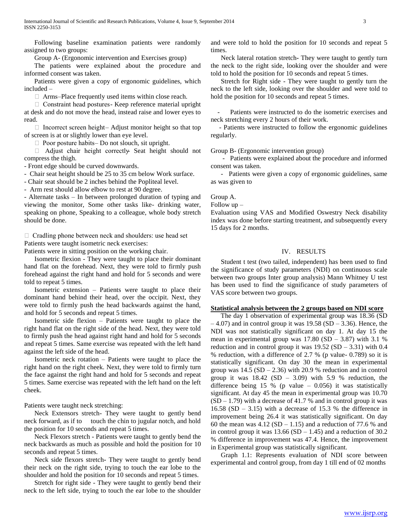Following baseline examination patients were randomly assigned to two groups:

Group A- (Ergonomic intervention and Exercises group)

 The patients were explained about the procedure and informed consent was taken.

 Patients were given a copy of ergonomic guidelines, which included –

 $\Box$  Arms-Place frequently used items within close reach.

 $\Box$  Constraint head postures - Keep reference material upright at desk and do not move the head, instead raise and lower eyes to read.

 $\Box$  Incorrect screen height-Adjust monitor height so that top of screen is at or slightly lower than eye level.

 $\Box$  Poor posture habits – Do not slouch, sit upright.

 Adjust chair height correctly- Seat height should not compress the thigh.

- Front edge should be curved downwards.

- Chair seat height should be 25 to 35 cm below Work surface.

- Chair seat should be 2 inches behind the Popliteal level.

- Arm rest should allow elbow to rest at 90 degree.

- Alternate tasks – In between prolonged duration of typing and viewing the monitor, Some other tasks like- drinking water, speaking on phone, Speaking to a colleague, whole body stretch should be done.

 $\Box$  Cradling phone between neck and shoulders: use head set Patients were taught isometric neck exercises:

Patients were in sitting position on the working chair.

 Isometric flexion - They were taught to place their dominant hand flat on the forehead. Next, they were told to firmly push forehead against the right hand and hold for 5 seconds and were told to repeat 5 times.

 Isometric extension – Patients were taught to place their dominant hand behind their head, over the occipit. Next, they were told to firmly push the head backwards against the hand, and hold for 5 seconds and repeat 5 times.

 Isometric side flexion – Patients were taught to place the right hand flat on the right side of the head. Next, they were told to firmly push the head against right hand and hold for 5 seconds and repeat 5 times. Same exercise was repeated with the left hand against the left side of the head.

 Isometric neck rotation – Patients were taught to place the right hand on the right cheek. Next, they were told to firmly turn the face against the right hand and hold for 5 seconds and repeat 5 times. Same exercise was repeated with the left hand on the left cheek.

Patients were taught neck stretching:

 Neck Extensors stretch- They were taught to gently bend neck forward, as if to touch the chin to jugular notch, and hold the position for 10 seconds and repeat 5 times.

 Neck Flexors stretch - Patients were taught to gently bend the neck backwards as much as possible and hold the position for 10 seconds and repeat 5 times.

 Neck side flexors stretch**-** They were taught to gently bend their neck on the right side, trying to touch the ear lobe to the shoulder and hold the position for 10 seconds and repeat 5 times.

 Stretch for right side - They were taught to gently bend their neck to the left side, trying to touch the ear lobe to the shoulder

and were told to hold the position for 10 seconds and repeat 5 times.

 Neck lateral rotation stretch**-** They were taught to gently turn the neck to the right side, looking over the shoulder and were told to hold the position for 10 seconds and repeat 5 times.

 Stretch for Right side - They were taught to gently turn the neck to the left side, looking over the shoulder and were told to hold the position for 10 seconds and repeat 5 times.

Patients were instructed to do the isometric exercises and neck stretching every 2 hours of their work.

 - Patients were instructed to follow the ergonomic guidelines regularly.

Group B- (Ergonomic intervention group)

 - Patients were explained about the procedure and informed consent was taken.

 - Patients were given a copy of ergonomic guidelines, same as was given to

Group A.

Follow up –

Evaluation using VAS and Modified Oswestry Neck disability index was done before starting treatment, and subsequently every 15 days for 2 months.

# IV. RESULTS

 Student t test (two tailed, independent) has been used to find the significance of study parameters (NDI) on continuous scale between two groups Inter group analysis) Mann Whitney U test has been used to find the significance of study parameters of VAS score between two groups.

## **Statistical analysis between the 2 groups based on NDI score**

 The day 1 observation of experimental group was 18.36 (SD  $-4.07$ ) and in control group it was  $19.58$  (SD  $-3.36$ ). Hence, the NDI was not statistically significant on day 1. At day 15 the mean in experimental group was  $17.80$  (SD – 3.87) with 3.1 % reduction and in control group it was  $19.52$  (SD – 3.31) with 0.4 % reduction, with a difference of 2.7 % (p value- 0.789) so it is statistically significant. On day 30 the mean in experimental group was  $14.5$  (SD – 2.36) with 20.9 % reduction and in control group it was  $18.42$  (SD – 3.09) with 5.9 % reduction, the difference being 15 % (p value  $-$  0.056) it was statistically significant. At day 45 the mean in experimental group was 10.70  $(SD - 1.79)$  with a decrease of 41.7 % and in control group it was 16.58  $(SD - 3.15)$  with a decrease of 15.3 % the difference in improvement being 26.4 it was statistically significant. On day 60 the mean was  $4.12$  (SD – 1.15) and a reduction of 77.6 % and in control group it was  $13.66$  (SD  $- 1.45$ ) and a reduction of 30.2 % difference in improvement was 47.4. Hence, the improvement in Experimental group was statistically significant.

 Graph 1.1: Represents evaluation of NDI score between experimental and control group, from day 1 till end of 02 months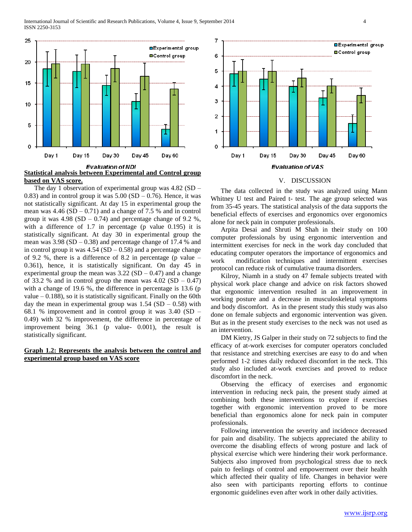

**based on VAS score.**

 The day 1 observation of experimental group was 4.82 (SD – 0.83) and in control group it was  $5.00$  (SD – 0.76). Hence, it was not statistically significant. At day 15 in experimental group the mean was  $4.46$  (SD – 0.71) and a change of 7.5 % and in control group it was  $4.98$  (SD – 0.74) and percentage change of 9.2 %, with a difference of 1.7 in percentage (p value 0.195) it is statistically significant. At day 30 in experimental group the mean was  $3.98$  (SD  $- 0.38$ ) and percentage change of 17.4 % and in control group it was  $4.54$  (SD – 0.58) and a percentage change of 9.2 %, there is a difference of 8.2 in percentage (p value – 0.361), hence, it is statistically significant. On day 45 in experimental group the mean was  $3.22$  (SD – 0.47) and a change of 33.2 % and in control group the mean was  $4.02$  (SD – 0.47) with a change of 19.6 %, the difference in percentage is 13.6 (p value  $-0.188$ ), so it is statistically significant. Finally on the 60th day the mean in experimental group was  $1.54$  (SD – 0.58) with 68.1 % improvement and in control group it was 3.40 (SD – 0.49) with 32 % improvement, the difference in percentage of improvement being 36.1 (p value- 0.001), the result is statistically significant.

# **Graph 1.2: Represents the analysis between the control and experimental group based on VAS score**



### V. DISCUSSION

 The data collected in the study was analyzed using Mann Whitney U test and Paired t- test. The age group selected was from 35-45 years. The statistical analysis of the data supports the beneficial effects of exercises and ergonomics over ergonomics alone for neck pain in computer professionals.

 Arpita Desai and Shruti M Shah in their study on 100 computer professionals by using ergonomic intervention and intermittent exercises for neck in the work day concluded that educating computer operators the importance of ergonomics and work modification techniques and intermittent exercises protocol can reduce risk of cumulative trauma disorders.

 Kilroy, Niamh in a study on 47 female subjects treated with physical work place change and advice on risk factors showed that ergonomic intervention resulted in an improvement in working posture and a decrease in musculoskeletal symptoms and body discomfort. As in the present study this study was also done on female subjects and ergonomic intervention was given. But as in the present study exercises to the neck was not used as an intervention.

 DM Kietry, JS Galper in their study on 72 subjects to find the efficacy of at-work exercises for computer operators concluded that resistance and stretching exercises are easy to do and when performed 1-2 times daily reduced discomfort in the neck. This study also included at-work exercises and proved to reduce discomfort in the neck.

 Observing the efficacy of exercises and ergonomic intervention in reducing neck pain, the present study aimed at combining both these interventions to explore if exercises together with ergonomic intervention proved to be more beneficial than ergonomics alone for neck pain in computer professionals.

 Following intervention the severity and incidence decreased for pain and disability. The subjects appreciated the ability to overcome the disabling effects of wrong posture and lack of physical exercise which were hindering their work performance. Subjects also improved from psychological stress due to neck pain to feelings of control and empowerment over their health which affected their quality of life. Changes in behavior were also seen with participants reporting efforts to continue ergonomic guidelines even after work in other daily activities.